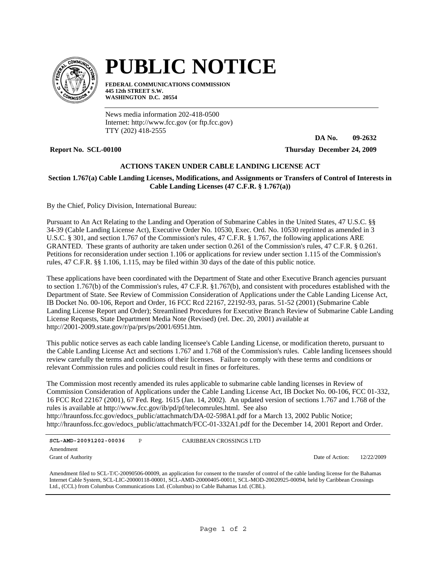

# **PUBLIC NOTICE**

**FEDERAL COMMUNICATIONS COMMISSION 445 12th STREET S.W. WASHINGTON D.C. 20554**

News media information 202-418-0500 Internet: http://www.fcc.gov (or ftp.fcc.gov) TTY (202) 418-2555

**DA No. 09-2632**

**Report No. SCL-00100 Thursday December 24, 2009**

# **ACTIONS TAKEN UNDER CABLE LANDING LICENSE ACT**

## **Section 1.767(a) Cable Landing Licenses, Modifications, and Assignments or Transfers of Control of Interests in Cable Landing Licenses (47 C.F.R. § 1.767(a))**

By the Chief, Policy Division, International Bureau:

Pursuant to An Act Relating to the Landing and Operation of Submarine Cables in the United States, 47 U.S.C. §§ 34-39 (Cable Landing License Act), Executive Order No. 10530, Exec. Ord. No. 10530 reprinted as amended in 3 U.S.C. § 301, and section 1.767 of the Commission's rules, 47 C.F.R. § 1.767, the following applications ARE GRANTED. These grants of authority are taken under section 0.261 of the Commission's rules, 47 C.F.R. § 0.261. Petitions for reconsideration under section 1.106 or applications for review under section 1.115 of the Commission's rules, 47 C.F.R. §§ 1.106, 1.115, may be filed within 30 days of the date of this public notice.

These applications have been coordinated with the Department of State and other Executive Branch agencies pursuant to section 1.767(b) of the Commission's rules, 47 C.F.R. §1.767(b), and consistent with procedures established with the Department of State. See Review of Commission Consideration of Applications under the Cable Landing License Act, IB Docket No. 00-106, Report and Order, 16 FCC Rcd 22167, 22192-93, paras. 51-52 (2001) (Submarine Cable Landing License Report and Order); Streamlined Procedures for Executive Branch Review of Submarine Cable Landing License Requests, State Department Media Note (Revised) (rel. Dec. 20, 2001) available at http://2001-2009.state.gov/r/pa/prs/ps/2001/6951.htm.

This public notice serves as each cable landing licensee's Cable Landing License, or modification thereto, pursuant to the Cable Landing License Act and sections 1.767 and 1.768 of the Commission's rules. Cable landing licensees should review carefully the terms and conditions of their licenses. Failure to comply with these terms and conditions or relevant Commission rules and policies could result in fines or forfeitures.

The Commission most recently amended its rules applicable to submarine cable landing licenses in Review of Commission Consideration of Applications under the Cable Landing License Act, IB Docket No. 00-106, FCC 01-332, 16 FCC Rcd 22167 (2001), 67 Fed. Reg. 1615 (Jan. 14, 2002). An updated version of sections 1.767 and 1.768 of the rules is available at http://www.fcc.gov/ib/pd/pf/telecomrules.html. See also http://hraunfoss.fcc.gov/edocs\_public/attachmatch/DA-02-598A1.pdf for a March 13, 2002 Public Notice; http://hraunfoss.fcc.gov/edocs\_public/attachmatch/FCC-01-332A1.pdf for the December 14, 2001 Report and Order.

**SCL-AMD-20091202-00036** P Grant of Authority Amendment

CARIBBEAN CROSSINGS LTD

Date of Action: 12/22/2009

Amendment filed to SCL-T/C-20090506-00009, an application for consent to the transfer of control of the cable landing license for the Bahamas Internet Cable System, SCL-LIC-20000118-00001, SCL-AMD-20000405-00011, SCL-MOD-20020925-00094, held by Caribbean Crossings Ltd., (CCL) from Columbus Communications Ltd. (Columbus) to Cable Bahamas Ltd. (CBL).